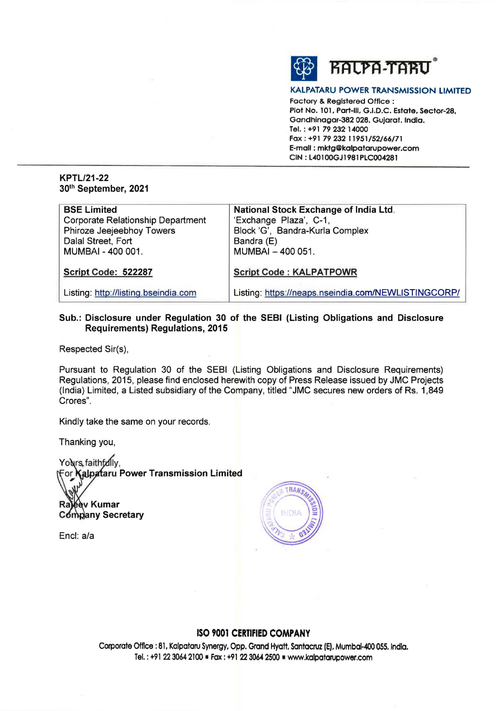

#### **KALPATARU POWER TRANSMISSION LIMITED**

Factory & **Registered** Office : **Plot No. 101. Part-Ill, G.I.D.C. Estate, Sector-28, Gandhlnagar-382 028. Gujarat. India. Tel.: +91** *79* **232· 14000 Fax: +91** *79* **232 l 1951/52/66/71 E-mail** : **mktg@kalpatarupower.com CIN: L40100GJ1981PLC004281** 

## **KPTL/21-22 30th September, 2021**

| <b>BSE Limited</b>                       | National Stock Exchange of India Ltd.               |
|------------------------------------------|-----------------------------------------------------|
| <b>Corporate Relationship Department</b> | 'Exchange Plaza', C-1,                              |
| Phiroze Jeejeebhoy Towers                | Block 'G', Bandra-Kurla Complex                     |
| Dalal Street, Fort                       | Bandra (E)                                          |
| MUMBAI - 400 001.                        | MUMBAI - 400 051.                                   |
|                                          |                                                     |
| Script Code: 522287                      | <b>Script Code: KALPATPOWR</b>                      |
|                                          |                                                     |
| Listing: http://listing.bseindia.com     | Listing: https://neaps.nseindia.com/NEWLISTINGCORP/ |

## **Sub.: Disclosure under Regulation 30 of the SEBI (Listing Obligations and Disclosure Requirements) Regulations, 2015**

Respected Sir(s),

Pursuant to Regulation 30 of the SEBI (Listing Obligations and Disclosure Requirements) Regulations, 2015, please find enclosed herewith copy of Press Release issued by JMC Projects (India) Limited, a Listed subsidiary of the Company, titled "JMC secures new orders of Rs. 1,849 Crores".

Kindly take the same on your records.

Thanking you,

Yolvrs faithf*d*lly,<br>For **Kalpataru Power Transmission Limited** 

Raleev Kumar Company Secretary

Encl: a/a



# **ISO 9001 CERTIFIED COMPANY**

Corporate Office: 81, Kalpataru Synergy, Opp. Grand Hyatt, Santacruz (E), Mumbai-400 055. India. Tel.: +91 22 3064 2100 · Fax: +91 22 3064 2500 · www.kalpatarupower.com